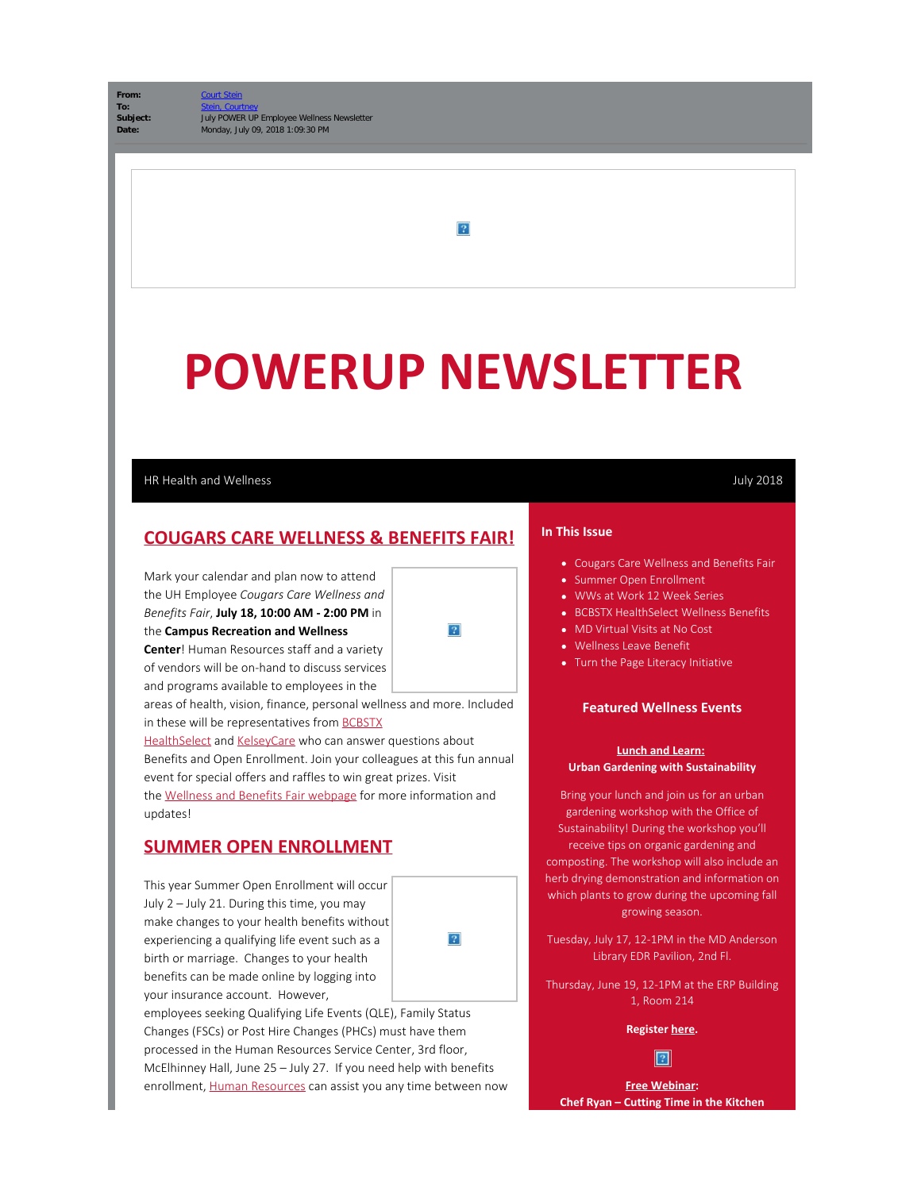From:

 $|2|$ 

# **POWERUP NEWSLETTER**

 $|2\rangle$ 

### HR Health and Wellness July 2018

# **COUGARS CARE WELLNESS & BENEFITS FAIR!**

Mark your calendar and plan now to attend the UH Employee *Cougars Care Wellness and Benefits Fair*, **July 18, 10:00 AM - 2:00 PM** in the **Campus Recreation and Wellness Center**! Human Resources staff and a variety

of vendors will be on-hand to discuss services and programs available to employees in the

areas of health, vision, finance, personal wellness and more. Included in these will be representatives from [BCBSTX](https://cloudapps.uh.edu/sendit/l/aQWIL5Hvz8MebkJzITqY6A/bbOY7uKi763udUnudHBfYhag/NHV1kuwXGqUJUNStf763Md4w)

[HealthSelect](https://cloudapps.uh.edu/sendit/l/aQWIL5Hvz8MebkJzITqY6A/bbOY7uKi763udUnudHBfYhag/NHV1kuwXGqUJUNStf763Md4w) and [KelseyCare](https://cloudapps.uh.edu/sendit/l/aQWIL5Hvz8MebkJzITqY6A/nmRUiNYFTHGTlLUwOkMZOw/NHV1kuwXGqUJUNStf763Md4w) who can answer questions about Benefits and Open Enrollment. Join your colleagues at this fun annual event for special offers and raffles to win great prizes. Visit the [Wellness and Benefits Fair webpage](https://cloudapps.uh.edu/sendit/l/aQWIL5Hvz8MebkJzITqY6A/g6H040eWkqrDy2GiQL5CPw/NHV1kuwXGqUJUNStf763Md4w) for more information and updates!

# **SUMMER OPEN ENROLLMENT**

This year Summer Open Enrollment will occur July 2 – July 21. During this time, you may make changes to your health benefits without experiencing a qualifying life event such as a birth or marriage. Changes to your health benefits can be made online by logging into your insurance account. However,



employees seeking Qualifying Life Events (QLE), Family Status Changes (FSCs) or Post Hire Changes (PHCs) must have them processed in the Human Resources Service Center, 3rd floor, McElhinney Hall, June 25 – July 27. If you need help with benefits enrollment, [Human Resources](https://cloudapps.uh.edu/sendit/l/aQWIL5Hvz8MebkJzITqY6A/U2usI1czCU69dCOQQd0NZA/NHV1kuwXGqUJUNStf763Md4w) can assist you any time between now

#### **In This Issue**

- Cougars Care Wellness and Benefits Fair
- Summer Open Enrollment
- WWs at Work 12 Week Series
- **BCBSTX HealthSelect Wellness Benefits**
- MD Virtual Visits at No Cost
- Wellness Leave Benefit
- Turn the Page Literacy Initiative

#### **Featured Wellness Events**

#### **Lunch and Learn: Urban Gardening with Sustainability**

Bring your lunch and join us for an urban gardening workshop with the Office of Sustainability! During the workshop you'll receive tips on organic gardening and composting. The workshop will also include an herb drying demonstration and information on which plants to grow during the upcoming fall growing season.

Tuesday, July 17, 12-1PM in the MD Anderson Library EDR Pavilion, 2nd Fl.

Thursday, June 19, 12-1PM at the ERP Building 1, Room 214

#### **Register [here](https://cloudapps.uh.edu/sendit/l/aQWIL5Hvz8MebkJzITqY6A/LbEkESQJ0IRHA4892oSASz892g/NHV1kuwXGqUJUNStf763Md4w).**



**Free Webinar: Chef Ryan – Cutting Time in the Kitchen**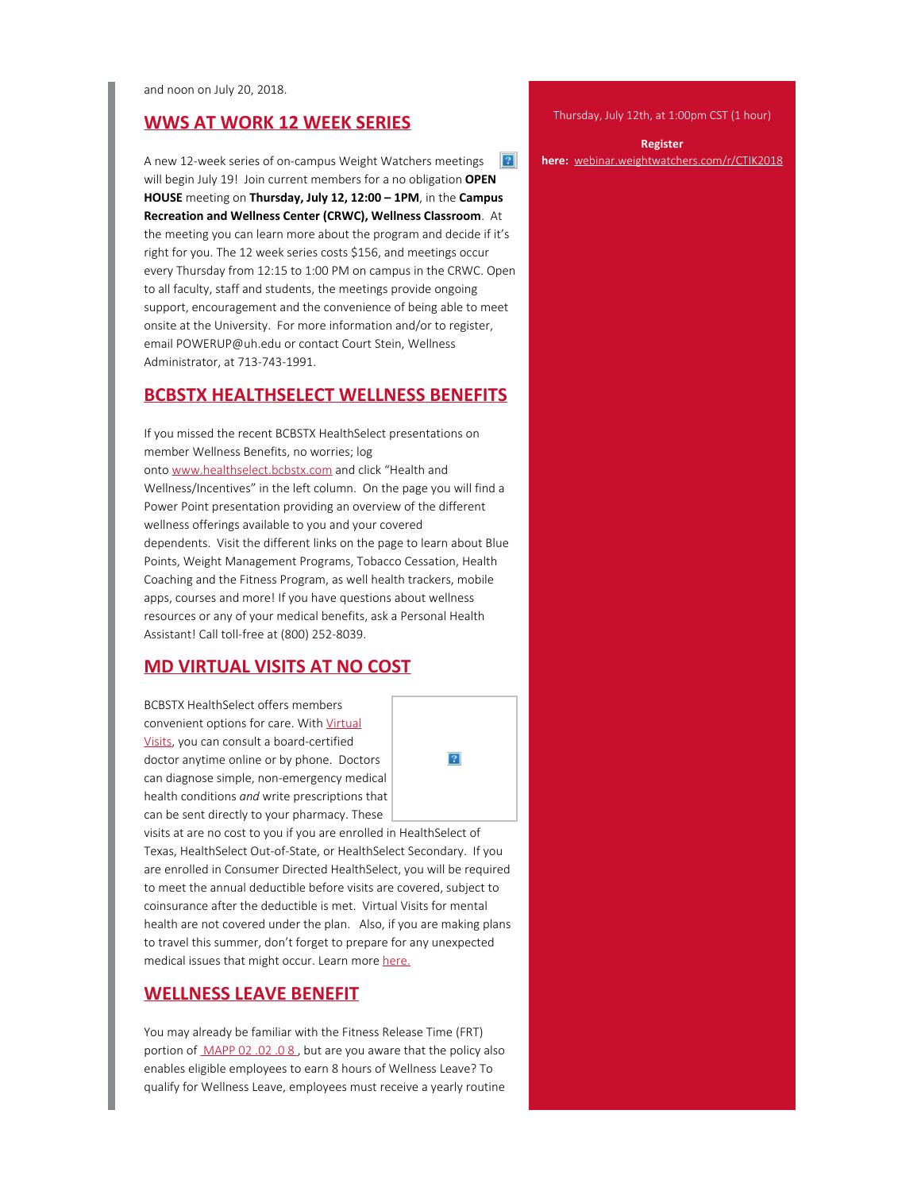and noon on July 20, 2018.

# **WWS AT WORK 12 WEEK SERIES**

A new 12-week series of on-campus Weight Watchers meetings  $|2|$ will begin July 19! Join current members for a no obligation **OPEN HOUSE** meeting on **Thursday, July 12, 12:00 – 1PM**, in the **Campus Recreation and Wellness Center (CRWC), Wellness Classroom**. At the meeting you can learn more about the program and decide if it's right for you. The 12 week series costs \$156, and meetings occur every Thursday from 12:15 to 1:00 PM on campus in the CRWC. Open to all faculty, staff and students, the meetings provide ongoing support, encouragement and the convenience of being able to meet onsite at the University. For more information and/or to register, email POWERUP@uh.edu or contact Court Stein, Wellness Administrator, at 713-743-1991.

# **BCBSTX HEALTHSELECT WELLNESS BENEFITS**

If you missed the recent BCBSTX HealthSelect presentations on member Wellness Benefits, no worries; log onto [www.healthselect.bcbstx.com](https://cloudapps.uh.edu/sendit/l/aQWIL5Hvz8MebkJzITqY6A/bbOY7uKi763udUnudHBfYhag/NHV1kuwXGqUJUNStf763Md4w) and click "Health and Wellness/Incentives" in the left column. On the page you will find a Power Point presentation providing an overview of the different wellness offerings available to you and your covered dependents. Visit the different links on the page to learn about Blue Points, Weight Management Programs, Tobacco Cessation, Health Coaching and the Fitness Program, as well health trackers, mobile apps, courses and more! If you have questions about wellness resources or any of your medical benefits, ask a Personal Health Assistant! Call toll-free at (800) 252-8039.

## **MD VIRTUAL VISITS AT NO COST**

BCBSTX HealthSelect offers members convenient options for care. With [Virtual](https://cloudapps.uh.edu/sendit/l/aQWIL5Hvz8MebkJzITqY6A/qYp0rAyaKLEllD89892892hyFg/NHV1kuwXGqUJUNStf763Md4w) [Visits](https://cloudapps.uh.edu/sendit/l/aQWIL5Hvz8MebkJzITqY6A/qYp0rAyaKLEllD89892892hyFg/NHV1kuwXGqUJUNStf763Md4w), you can consult a board-certified doctor anytime online or by phone. Doctors can diagnose simple, non-emergency medical health conditions *and* write prescriptions that can be sent directly to your pharmacy. These

 $\overline{2}$ 

visits at are no cost to you if you are enrolled in HealthSelect of Texas, HealthSelect Out-of-State, or HealthSelect Secondary. If you are enrolled in Consumer Directed HealthSelect, you will be required to meet the annual deductible before visits are covered, subject to coinsurance after the deductible is met. Virtual Visits for mental health are not covered under the plan. Also, if you are making plans to travel this summer, don't forget to prepare for any unexpected medical issues that might occur. Learn more [here.](https://cloudapps.uh.edu/sendit/l/aQWIL5Hvz8MebkJzITqY6A/U4lHz9gvH625892RxPCxHGgQ/NHV1kuwXGqUJUNStf763Md4w)

# **WELLNESS LEAVE BENEFIT**

You may already be familiar with the Fitness Release Time (FRT) portion of [MAPP 02 .02 .0 8](https://cloudapps.uh.edu/sendit/l/aQWIL5Hvz8MebkJzITqY6A/7637630rIM892TRKIKjoUJ3wASQg/NHV1kuwXGqUJUNStf763Md4w), but are you aware that the policy also enables eligible employees to earn 8 hours of Wellness Leave? To qualify for Wellness Leave, employees must receive a yearly routine

Thursday, July 12th, at 1:00pm CST (1 hour)

**Register**

#### **here:** [webinar.weightwatchers.com/r/CTIK2018](https://cloudapps.uh.edu/sendit/l/aQWIL5Hvz8MebkJzITqY6A/tJOT1g9IMMtUBvZARuHwUg/NHV1kuwXGqUJUNStf763Md4w)